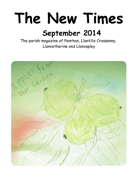# **The New Times**

## **September 2014**

The parish magazine of Penrhos, Llantilio Crossenny, Llanvetherine and Llanvapley

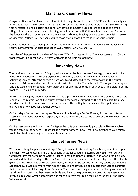## **Llantilio Crossenny News**

Congratulations to Tom Baker from Llantilio following his excellent set of GCSE results especially an A\* in Maths. Tom's sister Olivia is in Tanzania currently travelling around, visiting Zanzibar, swimming with tortoises, going on safari and generally having an amazing time before she goes to a small village close to Moshi where she is helping to build a school with Childreach International. She raised the funds for the trip by organizing various events while at Reading University and organising a party at Dingestow Village Hall, so thank you to those that managed to make it for your support.

Congratulation also to proud grandparents Elsie and Des Latham whose granddaughter Elinor from Shrewsbury achieved an excellent set of GCSE results, 2A\*, 7As and 1B.

Saturday 6<sup>th</sup> September is the date of the next "Walk from Warwicks". The walk starts at 11.00 am from Warwick's pub car park. A warm welcome to walkers old and new!

## **Llanvapley News**

The service at Llanvapley on 10 August, which was led by Rev Lorraine Cavanagh, turned out to be busier than expected. The congregation was joined by a local family and a family who were holidaying locally. After the service a note was found attached to the noticeboard in the church porch from Ada who had attended the service with her family. The note said "Thank you for being so kind and welcoming on Sunday. Also thank you for offering us to go in your pool". The picture on the front of TNT was drawn by Ada.

Visitors to Llanvapley Church may have spotted a problem with a small part of the ceiling in the nave recently. The restoration of the church involved renewing every part of the ceiling apart from one bit which decided to come down over the summer. The ceiling has been expertly repaired and everything is now good for another 50 years!

On Saturday 6 September Llanvapley Church will be hosting a Coffee Morning in the church from 10.30 am. Everyone welcome – especially those who are unable to get to any of the mid week coffee mornings!

Our Harvest service and lunch is on 28 September this year. We would particularly like to involve young people in the service. Please let the churchwardens know if you or a member of your family would like to do a reading or a musical item in the service.

## **Llanvetherine News**

Who says nothing happens in our village? Well, it was a bit like waiting for a bus -you wait for ages and then two come along, and that is exactly what happened on Saturday July 26th- we had two weddings! First the wedding of Gareth Hughes Jones and Hannah Bisgrove, and what a fabulous day we had and the hottest day of the year! As tradition has it the children of the village tied the church gates and the groom had to throw some money to them to be let out. A chimney sweep also made an appearance Aka Adam Binmore from Wrens Nest. The happy couple and guests then left to continue their celebrations at the Hog's Head Treadam. The second wedding was between Stacey Watkins and David Hopkins, again another beautiful bride and handsome groom made a beautiful tableau in our lovely church yard. After photographs and much fun they continued their celebrations at the Three Salmons in Usk.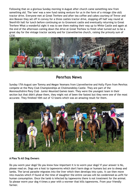Following that on a glorious Sunday morning in August after church came something new from something old. The 'new' was a new fund raising venture for us in the form of a vintage (the old) tractor drive. Everyone met at Great Trerhew and after tea coffee and cakes courtesy of Trevor and Ann Beavan they set off in convoy for a three castles tractor drive, stopping off half way round at Skenfrith hall for lunch before continuing on to Grosmont castle and eventually returning to Great Trerhew What a wonderful sight it was to see them making their way up to White Castle and again at the end of the afternoon coming down the drive at Great Trerhew to finish what turned out to be a great day for the vintage tractor society and for Llanvetherine church, raising the princely sum of £230.



## **Penrhos News**

Sunday 17th August saw Tommy and Megan Yeomans from Llanvetherine and Holly Flynn from Penrhos compete at the Pony Club Championships at Cholmondeley Castle. They are part of the Monmouthshire Pony Club Junior Mounted Games team. They were the youngest team in their section but that didn't phase them, they might not of been the fastest but they were one of the most accurate. They finished 10th out of 12 teams which was an amazing result for them.



#### **A Plea To All Dog Owners**

Do you worm your dogs? Do you know how important it is to worm your dogs? If your answer is No, please read on. Dogs are a host to tapeworms which don't harm dogs or humans but are to sheep and lambs. The larval parasite migrates into the liver which then develops into cysts. It can then move into muscles which if found at the time of slaughter the entire carcass will be condemned as unfit for human consumption. Once the lamb is infected by tapeworms there is not treatment for the animal. So please worm your dog 4 times a year with a wormer that kills tapeworms. From your friendly farmer.